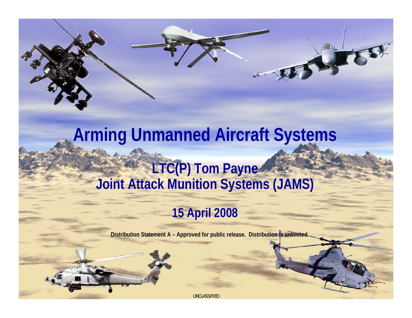# **Arming Unmanned Aircraft Systems LTC(P) Tom Payne Joint Attack Munition Systems (JAMS)**

ホストする

### **15 April 2008**

**Distribution Statement A – Approved for public release. Distribution is unlimited.**

UNCLASSIFIED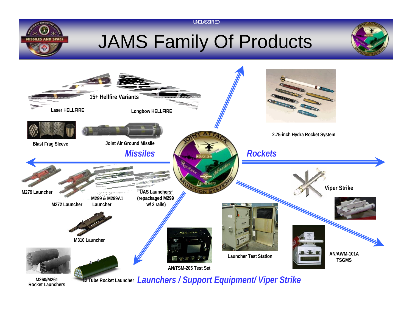

# JAMS Family Of Products

UNCLASSIFIED





**M260/M261Rocket Launchers** **12 Tube Rocket Launcher** *Launchers / Support Equipment/ Viper Strike*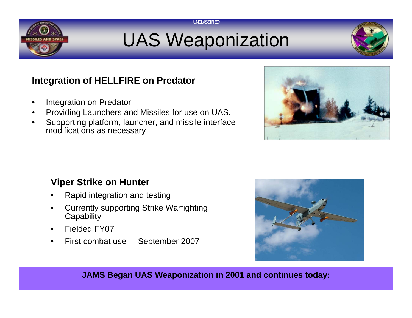

# UAS Weaponization

UNCLASSIFIED



#### **Integration of HELLFIRE on Predator**

- •Integration on Predator
- •Providing Launchers and Missiles for use on UAS.
- • Supporting platform, launcher, and missile interface modifications as necessary



#### **Viper Strike on Hunter**

- •Rapid integration and testing
- • Currently supporting Strike Warfighting **Capability**
- •Fielded FY07
- •First combat use – September 2007



**JAMS Began UAS Weaponization in 2001 and continues today:**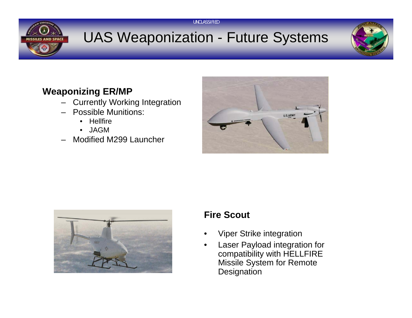

## UAS Weaponization - Future Systems

UNCLASSIFIED



### **Weaponizing ER/MP**

- Currently Working Integration
- Possible Munitions:
	- •Hellfire
	- •JAGM
- Modified M299 Launcher





#### **Fire Scout**

- •Viper Strike integration
- • Laser Payload integration for compatibility with HELLFIRE Missile System for Remote **Designation**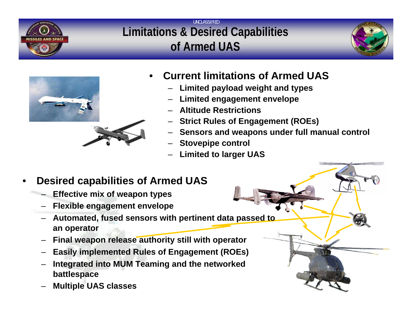

#### UNCLASSIFIED**Limitations & Desired Capabilities of Armed UAS**





#### •**Current limitations of Armed UAS**

- –**Limited payload weight and types**
- **Limited engagement envelope**
- **Altitude Restrictions**
- –**Strict Rules of Engagement (ROEs)**
- **Sensors and weapons under full manual control**
- **Stovepipe control**
- **Limited to larger UAS**

#### •**Desired capabilities of Armed UAS**

- **Effective mix of weapon types**
- **Flexible engagement envelope**
- – **Automated, fused sensors with pertinent data passed to an operator**
- **Final weapon release authority still with operator**
- **Easily implemented Rules of Engagement (ROEs)**
- **Integrated into MUM Teaming and the networked battlespace**
- **Multiple UAS classes**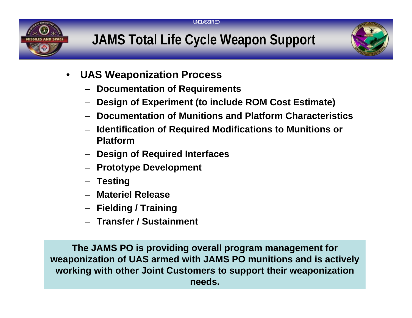

UNCLASSIFIED



- • **UAS Weaponization Process**
	- **Documentation of Requirements**
	- **Design of Experiment (to include ROM Cost Estimate)**
	- **Documentation of Munitions and Platform Characteristics**
	- **Identification of Required Modifications to Munitions or Platform**
	- **Design of Required Interfaces**
	- **Prototype Development**
	- **Testing**
	- **Materiel Release**
	- **Fielding / Training**
	- **Transfer / Sustainment**

**The JAMS PO is providing overall program management for weaponization of UAS armed with JAMS PO munitions and is actively working with other Joint Customers to support their weaponization needs.**